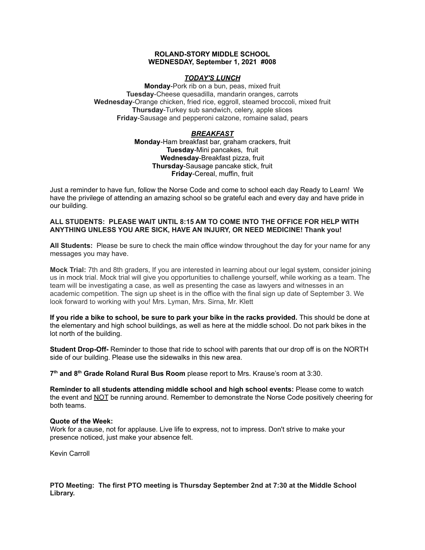#### **ROLAND-STORY MIDDLE SCHOOL WEDNESDAY, September 1, 2021 #008**

# *TODAY'S LUNCH*

**Monday**-Pork rib on a bun, peas, mixed fruit **Tuesday**-Cheese quesadilla, mandarin oranges, carrots **Wednesday**-Orange chicken, fried rice, eggroll, steamed broccoli, mixed fruit **Thursday**-Turkey sub sandwich, celery, apple slices **Friday**-Sausage and pepperoni calzone, romaine salad, pears

# *BREAKFAST*

**Monday**-Ham breakfast bar, graham crackers, fruit **Tuesday**-Mini pancakes, fruit **Wednesday**-Breakfast pizza, fruit **Thursday**-Sausage pancake stick, fruit **Friday**-Cereal, muffin, fruit

Just a reminder to have fun, follow the Norse Code and come to school each day Ready to Learn! We have the privilege of attending an amazing school so be grateful each and every day and have pride in our building.

#### **ALL STUDENTS: PLEASE WAIT UNTIL 8:15 AM TO COME INTO THE OFFICE FOR HELP WITH ANYTHING UNLESS YOU ARE SICK, HAVE AN INJURY, OR NEED MEDICINE! Thank you!**

**All Students:** Please be sure to check the main office window throughout the day for your name for any messages you may have.

**Mock Trial:** 7th and 8th graders, If you are interested in learning about our legal system, consider joining us in mock trial. Mock trial will give you opportunities to challenge yourself, while working as a team. The team will be investigating a case, as well as presenting the case as lawyers and witnesses in an academic competition. The sign up sheet is in the office with the final sign up date of September 3. We look forward to working with you! Mrs. Lyman, Mrs. Sirna, Mr. Klett

**If you ride a bike to school, be sure to park your bike in the racks provided.** This should be done at the elementary and high school buildings, as well as here at the middle school. Do not park bikes in the lot north of the building.

**Student Drop-Off-** Reminder to those that ride to school with parents that our drop off is on the NORTH side of our building. Please use the sidewalks in this new area.

**7 th and 8 th Grade Roland Rural Bus Room** please report to Mrs. Krause's room at 3:30.

**Reminder to all students attending middle school and high school events:** Please come to watch the event and NOT be running around. Remember to demonstrate the Norse Code positively cheering for both teams.

#### **Quote of the Week:**

Work for a cause, not for applause. Live life to express, not to impress. Don't strive to make your presence noticed, just make your absence felt.

Kevin Carroll

# **PTO Meeting: The first PTO meeting is Thursday September 2nd at 7:30 at the Middle School Library.**